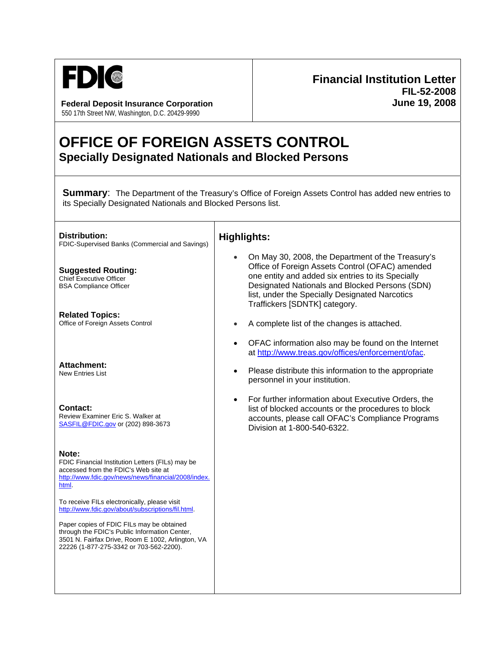

**Federal Deposit Insurance Corporation June 19, 2008** 550 17th Street NW, Washington, D.C. 20429-9990

## **Financial Institution Letter FIL-52-2008**

## **OFFICE OF FOREIGN ASSETS CONTROL Specially Designated Nationals and Blocked Persons**

**Summary:** The Department of the Treasury's Office of Foreign Assets Control has added new entries to its Specially Designated Nationals and Blocked Persons list.

| <b>Distribution:</b><br>FDIC-Supervised Banks (Commercial and Savings)                                                                                                                                                                                                                                                                                                                                                                                               | <b>Highlights:</b>                                                                                                                                                                                                                                                                             |
|----------------------------------------------------------------------------------------------------------------------------------------------------------------------------------------------------------------------------------------------------------------------------------------------------------------------------------------------------------------------------------------------------------------------------------------------------------------------|------------------------------------------------------------------------------------------------------------------------------------------------------------------------------------------------------------------------------------------------------------------------------------------------|
| <b>Suggested Routing:</b><br><b>Chief Executive Officer</b><br><b>BSA Compliance Officer</b>                                                                                                                                                                                                                                                                                                                                                                         | On May 30, 2008, the Department of the Treasury's<br>Office of Foreign Assets Control (OFAC) amended<br>one entity and added six entries to its Specially<br>Designated Nationals and Blocked Persons (SDN)<br>list, under the Specially Designated Narcotics<br>Traffickers [SDNTK] category. |
| <b>Related Topics:</b><br>Office of Foreign Assets Control                                                                                                                                                                                                                                                                                                                                                                                                           | A complete list of the changes is attached.                                                                                                                                                                                                                                                    |
| <b>Attachment:</b><br><b>New Entries List</b>                                                                                                                                                                                                                                                                                                                                                                                                                        | OFAC information also may be found on the Internet<br>$\bullet$<br>at http://www.treas.gov/offices/enforcement/ofac.<br>Please distribute this information to the appropriate<br>$\bullet$<br>personnel in your institution.                                                                   |
| Contact:<br>Review Examiner Eric S. Walker at<br>SASFIL@FDIC.gov or (202) 898-3673                                                                                                                                                                                                                                                                                                                                                                                   | For further information about Executive Orders, the<br>$\bullet$<br>list of blocked accounts or the procedures to block<br>accounts, please call OFAC's Compliance Programs<br>Division at 1-800-540-6322.                                                                                     |
| Note:<br>FDIC Financial Institution Letters (FILs) may be<br>accessed from the FDIC's Web site at<br>http://www.fdic.gov/news/news/financial/2008/index.<br>html.<br>To receive FILs electronically, please visit<br>http://www.fdic.gov/about/subscriptions/fil.html.<br>Paper copies of FDIC FILs may be obtained<br>through the FDIC's Public Information Center,<br>3501 N. Fairfax Drive, Room E 1002, Arlington, VA<br>22226 (1-877-275-3342 or 703-562-2200). |                                                                                                                                                                                                                                                                                                |
|                                                                                                                                                                                                                                                                                                                                                                                                                                                                      |                                                                                                                                                                                                                                                                                                |